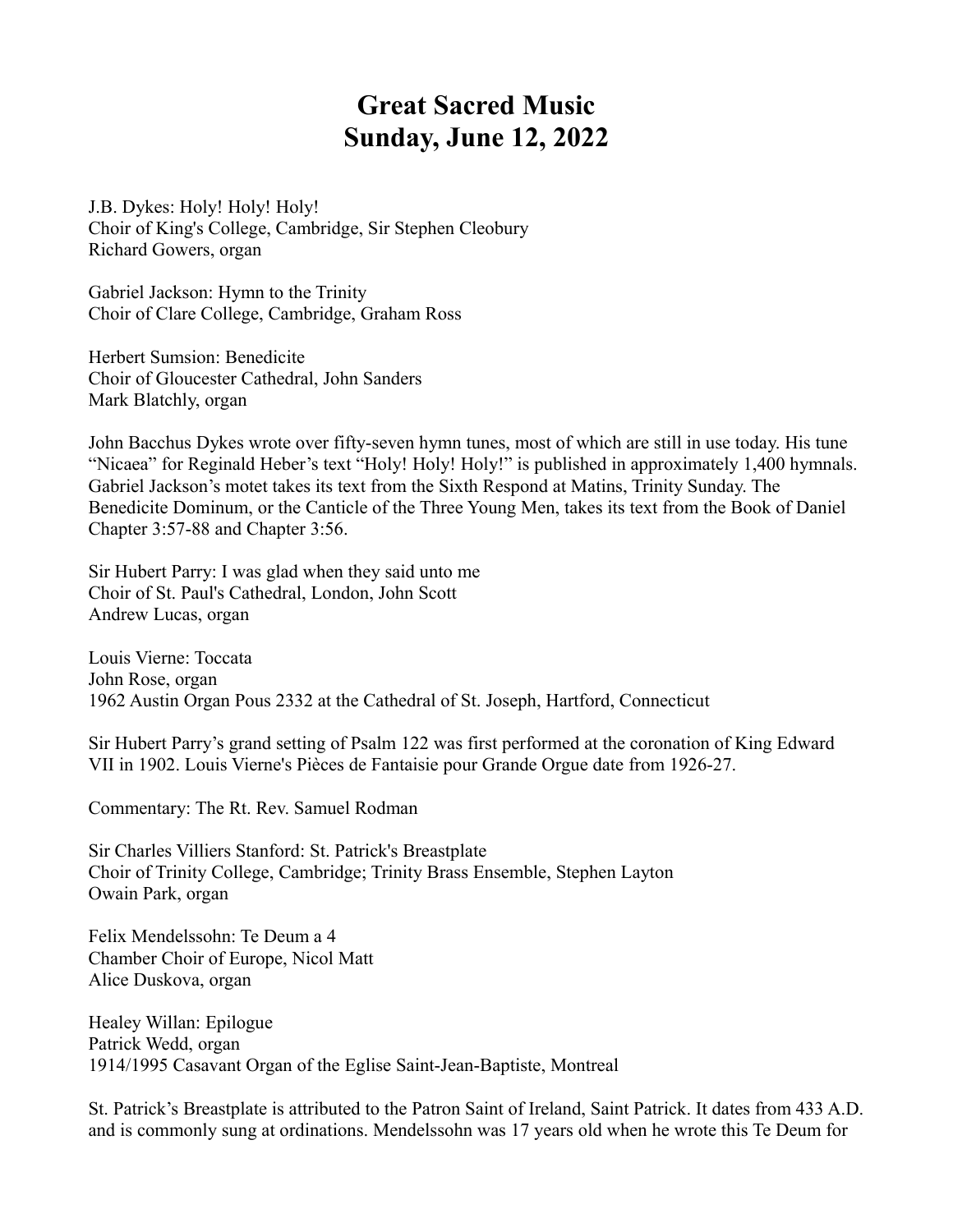## **Great Sacred Music Sunday, June 12, 2022**

J.B. Dykes: Holy! Holy! Holy! Choir of King's College, Cambridge, Sir Stephen Cleobury Richard Gowers, organ

Gabriel Jackson: Hymn to the Trinity Choir of Clare College, Cambridge, Graham Ross

Herbert Sumsion: Benedicite Choir of Gloucester Cathedral, John Sanders Mark Blatchly, organ

John Bacchus Dykes wrote over fifty-seven hymn tunes, most of which are still in use today. His tune "Nicaea" for Reginald Heber's text "Holy! Holy! Holy!" is published in approximately 1,400 hymnals. Gabriel Jackson's motet takes its text from the Sixth Respond at Matins, Trinity Sunday. The Benedicite Dominum, or the Canticle of the Three Young Men, takes its text from the Book of Daniel Chapter 3:57-88 and Chapter 3:56.

Sir Hubert Parry: I was glad when they said unto me Choir of St. Paul's Cathedral, London, John Scott Andrew Lucas, organ

Louis Vierne: Toccata John Rose, organ 1962 Austin Organ Pous 2332 at the Cathedral of St. Joseph, Hartford, Connecticut

Sir Hubert Parry's grand setting of Psalm 122 was first performed at the coronation of King Edward VII in 1902. Louis Vierne's Pièces de Fantaisie pour Grande Orgue date from 1926-27.

Commentary: The Rt. Rev. Samuel Rodman

Sir Charles Villiers Stanford: St. Patrick's Breastplate Choir of Trinity College, Cambridge; Trinity Brass Ensemble, Stephen Layton Owain Park, organ

Felix Mendelssohn: Te Deum a 4 Chamber Choir of Europe, Nicol Matt Alice Duskova, organ

Healey Willan: Epilogue Patrick Wedd, organ 1914/1995 Casavant Organ of the Eglise Saint-Jean-Baptiste, Montreal

St. Patrick's Breastplate is attributed to the Patron Saint of Ireland, Saint Patrick. It dates from 433 A.D. and is commonly sung at ordinations. Mendelssohn was 17 years old when he wrote this Te Deum for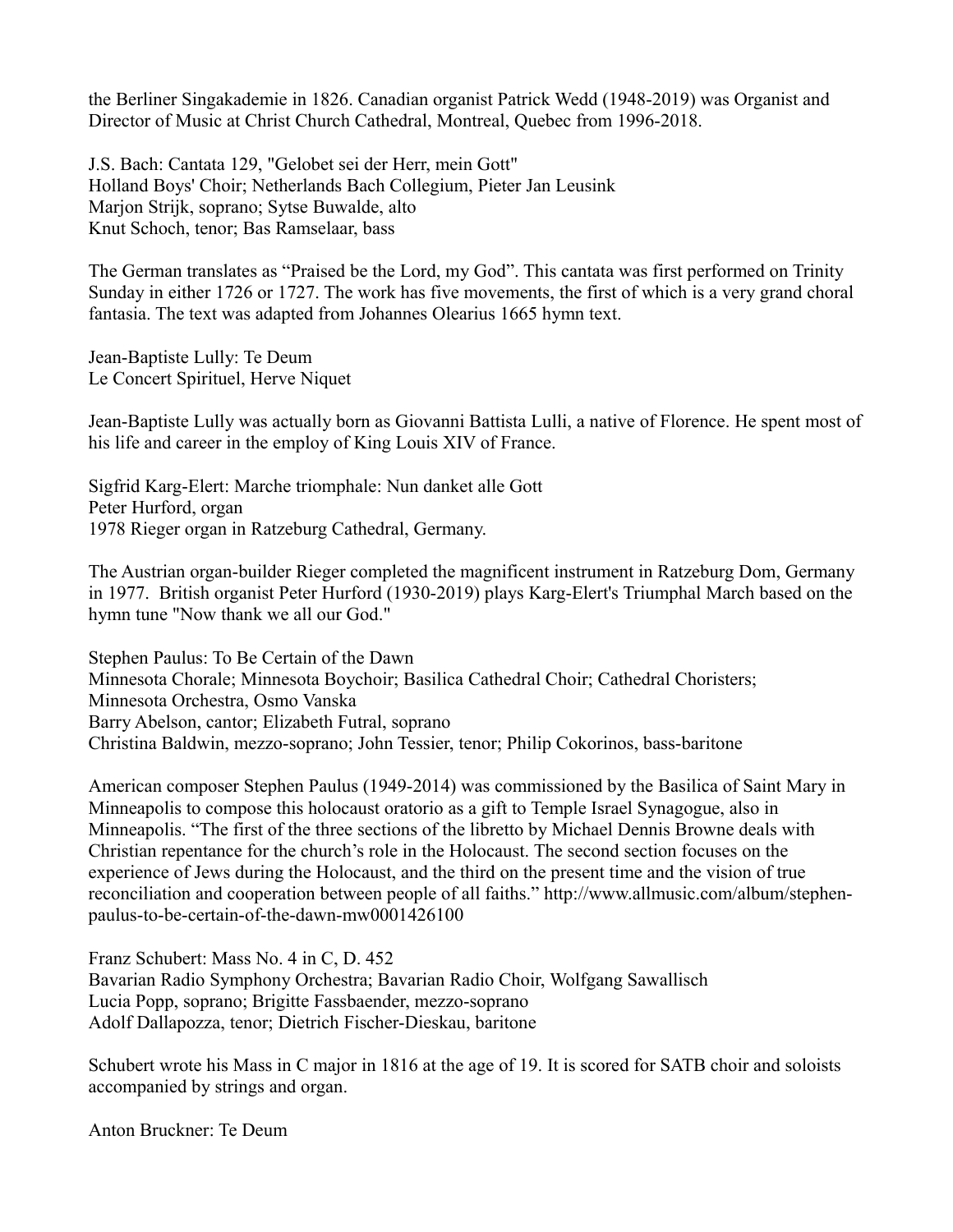the Berliner Singakademie in 1826. Canadian organist Patrick Wedd (1948-2019) was Organist and Director of Music at Christ Church Cathedral, Montreal, Quebec from 1996-2018.

J.S. Bach: Cantata 129, "Gelobet sei der Herr, mein Gott" Holland Boys' Choir; Netherlands Bach Collegium, Pieter Jan Leusink Marjon Strijk, soprano; Sytse Buwalde, alto Knut Schoch, tenor; Bas Ramselaar, bass

The German translates as "Praised be the Lord, my God". This cantata was first performed on Trinity Sunday in either 1726 or 1727. The work has five movements, the first of which is a very grand choral fantasia. The text was adapted from Johannes Olearius 1665 hymn text.

Jean-Baptiste Lully: Te Deum Le Concert Spirituel, Herve Niquet

Jean-Baptiste Lully was actually born as Giovanni Battista Lulli, a native of Florence. He spent most of his life and career in the employ of King Louis XIV of France.

Sigfrid Karg-Elert: Marche triomphale: Nun danket alle Gott Peter Hurford, organ 1978 Rieger organ in Ratzeburg Cathedral, Germany.

The Austrian organ-builder Rieger completed the magnificent instrument in Ratzeburg Dom, Germany in 1977. British organist Peter Hurford (1930-2019) plays Karg-Elert's Triumphal March based on the hymn tune "Now thank we all our God."

Stephen Paulus: To Be Certain of the Dawn Minnesota Chorale; Minnesota Boychoir; Basilica Cathedral Choir; Cathedral Choristers; Minnesota Orchestra, Osmo Vanska Barry Abelson, cantor; Elizabeth Futral, soprano Christina Baldwin, mezzo-soprano; John Tessier, tenor; Philip Cokorinos, bass-baritone

American composer Stephen Paulus (1949-2014) was commissioned by the Basilica of Saint Mary in Minneapolis to compose this holocaust oratorio as a gift to Temple Israel Synagogue, also in Minneapolis. "The first of the three sections of the libretto by Michael Dennis Browne deals with Christian repentance for the church's role in the Holocaust. The second section focuses on the experience of Jews during the Holocaust, and the third on the present time and the vision of true reconciliation and cooperation between people of all faiths." http://www.allmusic.com/album/stephenpaulus-to-be-certain-of-the-dawn-mw0001426100

Franz Schubert: Mass No. 4 in C, D. 452 Bavarian Radio Symphony Orchestra; Bavarian Radio Choir, Wolfgang Sawallisch Lucia Popp, soprano; Brigitte Fassbaender, mezzo-soprano Adolf Dallapozza, tenor; Dietrich Fischer-Dieskau, baritone

Schubert wrote his Mass in C major in 1816 at the age of 19. It is scored for SATB choir and soloists accompanied by strings and organ.

Anton Bruckner: Te Deum